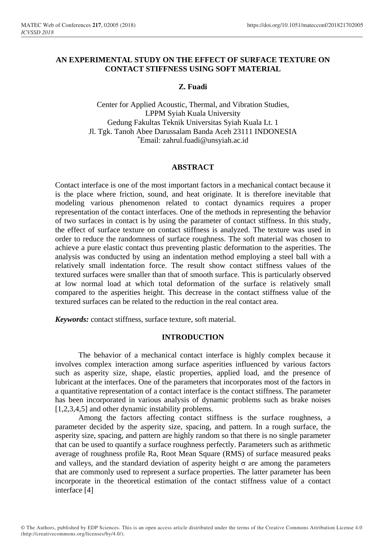# **AN EXPERIMENTAL STUDY ON THE EFFECT OF SURFACE TEXTURE ON CONTACT STIFFNESS USING SOFT MATERIAL**

# **Z. Fuadi**

Center for Applied Acoustic, Thermal, and Vibration Studies, LPPM Syiah Kuala University Gedung Fakultas Teknik Universitas Syiah Kuala Lt. 1 Jl. Tgk. Tanoh Abee Darussalam Banda Aceh 23111 INDONESIA \* Email: zahrul.fuadi@unsyiah.ac.id

# **ABSTRACT**

Contact interface is one of the most important factors in a mechanical contact because it is the place where friction, sound, and heat originate. It is therefore inevitable that modeling various phenomenon related to contact dynamics requires a proper representation of the contact interfaces. One of the methods in representing the behavior of two surfaces in contact is by using the parameter of contact stiffness. In this study, the effect of surface texture on contact stiffness is analyzed. The texture was used in order to reduce the randomness of surface roughness. The soft material was chosen to achieve a pure elastic contact thus preventing plastic deformation to the asperities. The analysis was conducted by using an indentation method employing a steel ball with a relatively small indentation force. The result show contact stiffness values of the textured surfaces were smaller than that of smooth surface. This is particularly observed at low normal load at which total deformation of the surface is relatively small compared to the asperities height. This decrease in the contact stiffness value of the textured surfaces can be related to the reduction in the real contact area.

*Keywords:* contact stiffness, surface texture, soft material.

## **INTRODUCTION**

The behavior of a mechanical contact interface is highly complex because it involves complex interaction among surface asperities influenced by various factors such as asperity size, shape, elastic properties, applied load, and the presence of lubricant at the interfaces. One of the parameters that incorporates most of the factors in a quantitative representation of a contact interface is the contact stiffness. The parameter has been incorporated in various analysis of dynamic problems such as brake noises [1,2,3,4,5] and other dynamic instability problems.

Among the factors affecting contact stiffness is the surface roughness, a parameter decided by the asperity size, spacing, and pattern. In a rough surface, the asperity size, spacing, and pattern are highly random so that there is no single parameter that can be used to quantify a surface roughness perfectly. Parameters such as arithmetic average of roughness profile Ra, Root Mean Square (RMS) of surface measured peaks and valleys, and the standard deviation of asperity height  $\sigma$  are among the parameters that are commonly used to represent a surface properties. The latter parameter has been incorporate in the theoretical estimation of the contact stiffness value of a contact interface [4]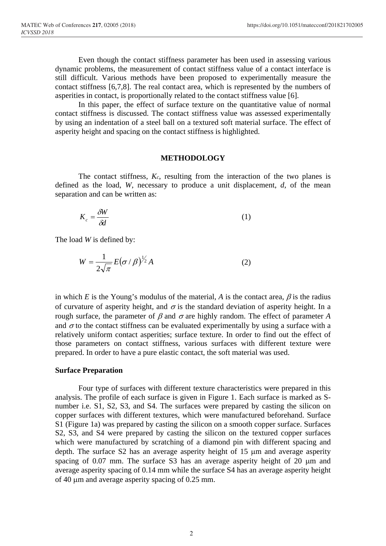Even though the contact stiffness parameter has been used in assessing various dynamic problems, the measurement of contact stiffness value of a contact interface is still difficult. Various methods have been proposed to experimentally measure the contact stiffness [6,7,8]. The real contact area, which is represented by the numbers of asperities in contact, is proportionally related to the contact stiffness value [6].

In this paper, the effect of surface texture on the quantitative value of normal contact stiffness is discussed. The contact stiffness value was assessed experimentally by using an indentation of a steel ball on a textured soft material surface. The effect of asperity height and spacing on the contact stiffness is highlighted.

#### **METHODOLOGY**

The contact stiffness,  $K_c$ , resulting from the interaction of the two planes is defined as the load, *W*, necessary to produce a unit displacement, *d*, of the mean separation and can be written as:

$$
K_c = \frac{\delta W}{\delta d} \tag{1}
$$

The load *W* is defined by:

$$
W = \frac{1}{2\sqrt{\pi}} E(\sigma/\beta)^{1/2} A
$$
 (2)

in which *E* is the Young's modulus of the material, *A* is the contact area,  $\beta$  is the radius of curvature of asperity height, and  $\sigma$  is the standard deviation of asperity height. In a rough surface, the parameter of  $\beta$  and  $\sigma$  are highly random. The effect of parameter A and  $\sigma$  to the contact stiffness can be evaluated experimentally by using a surface with a relatively uniform contact asperities; surface texture. In order to find out the effect of those parameters on contact stiffness, various surfaces with different texture were prepared. In order to have a pure elastic contact, the soft material was used.

#### **Surface Preparation**

Four type of surfaces with different texture characteristics were prepared in this analysis. The profile of each surface is given in Figure 1. Each surface is marked as Snumber i.e. S1, S2, S3, and S4. The surfaces were prepared by casting the silicon on copper surfaces with different textures, which were manufactured beforehand. Surface S1 (Figure 1a) was prepared by casting the silicon on a smooth copper surface. Surfaces S2, S3, and S4 were prepared by casting the silicon on the textured copper surfaces which were manufactured by scratching of a diamond pin with different spacing and depth. The surface  $S2$  has an average asperity height of 15  $\mu$ m and average asperity spacing of  $0.07$  mm. The surface S3 has an average asperity height of 20  $\mu$ m and average asperity spacing of 0.14 mm while the surface S4 has an average asperity height of 40 m and average asperity spacing of 0.25 mm.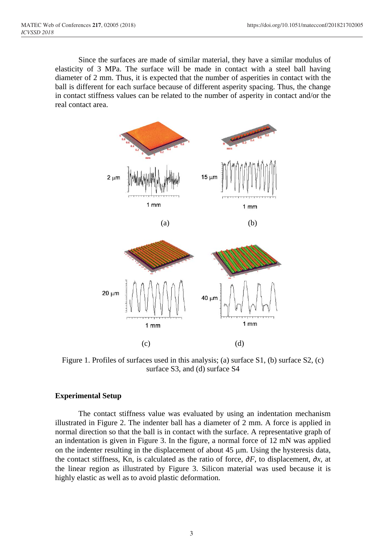Since the surfaces are made of similar material, they have a similar modulus of elasticity of 3 MPa. The surface will be made in contact with a steel ball having diameter of 2 mm. Thus, it is expected that the number of asperities in contact with the ball is different for each surface because of different asperity spacing. Thus, the change in contact stiffness values can be related to the number of asperity in contact and/or the real contact area.



(c) (d) Figure 1. Profiles of surfaces used in this analysis; (a) surface S1, (b) surface S2, (c) surface S3, and (d) surface S4

 $1mm$ 

 $1mm$ 

## **Experimental Setup**

The contact stiffness value was evaluated by using an indentation mechanism illustrated in Figure 2. The indenter ball has a diameter of 2 mm. A force is applied in normal direction so that the ball is in contact with the surface. A representative graph of an indentation is given in Figure 3. In the figure, a normal force of 12 mN was applied on the indenter resulting in the displacement of about  $45 \mu m$ . Using the hysteresis data, the contact stiffness, Kn, is calculated as the ratio of force, *∂F*, to displacement, *∂x*, at the linear region as illustrated by Figure 3. Silicon material was used because it is highly elastic as well as to avoid plastic deformation.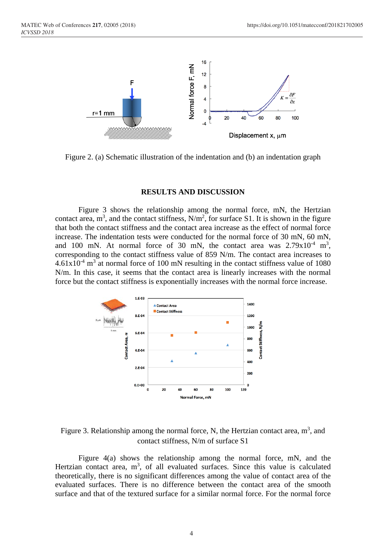

Figure 2. (a) Schematic illustration of the indentation and (b) an indentation graph

#### **RESULTS AND DISCUSSION**

Figure 3 shows the relationship among the normal force, mN, the Hertzian contact area,  $m^3$ , and the contact stiffness,  $N/m^2$ , for surface S1. It is shown in the figure that both the contact stiffness and the contact area increase as the effect of normal force increase. The indentation tests were conducted for the normal force of 30 mN, 60 mN, and 100 mN. At normal force of 30 mN, the contact area was  $2.79x10^{-4}$  m<sup>3</sup>, corresponding to the contact stiffness value of 859 N/m. The contact area increases to  $4.61x10^{-4}$  m<sup>3</sup> at normal force of 100 mN resulting in the contact stiffness value of 1080 N/m. In this case, it seems that the contact area is linearly increases with the normal force but the contact stiffness is exponentially increases with the normal force increase.



Figure 3. Relationship among the normal force, N, the Hertzian contact area,  $m<sup>3</sup>$ , and contact stiffness, N/m of surface S1

Figure 4(a) shows the relationship among the normal force, mN, and the Hertzian contact area,  $m<sup>3</sup>$ , of all evaluated surfaces. Since this value is calculated theoretically, there is no significant differences among the value of contact area of the evaluated surfaces. There is no difference between the contact area of the smooth surface and that of the textured surface for a similar normal force. For the normal force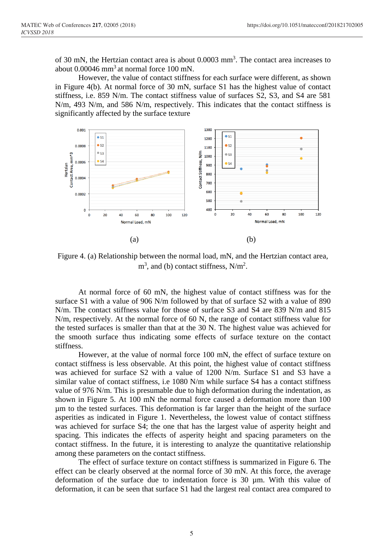of 30 mN, the Hertzian contact area is about 0.0003 mm<sup>3</sup>. The contact area increases to about  $0.00046$  mm<sup>3</sup> at normal force 100 mN.

However, the value of contact stiffness for each surface were different, as shown in Figure 4(b). At normal force of 30 mN, surface S1 has the highest value of contact stiffness, i.e. 859 N/m. The contact stiffness value of surfaces S2, S3, and S4 are 581 N/m, 493 N/m, and 586 N/m, respectively. This indicates that the contact stiffness is significantly affected by the surface texture



Figure 4. (a) Relationship between the normal load, mN, and the Hertzian contact area,  $m<sup>3</sup>$ , and (b) contact stiffness, N/m<sup>2</sup>.

At normal force of 60 mN, the highest value of contact stiffness was for the surface S1 with a value of 906 N/m followed by that of surface S2 with a value of 890 N/m. The contact stiffness value for those of surface S3 and S4 are 839 N/m and 815 N/m, respectively. At the normal force of 60 N, the range of contact stiffness value for the tested surfaces is smaller than that at the 30 N. The highest value was achieved for the smooth surface thus indicating some effects of surface texture on the contact stiffness.

However, at the value of normal force 100 mN, the effect of surface texture on contact stiffness is less observable. At this point, the highest value of contact stiffness was achieved for surface S2 with a value of 1200 N/m. Surface S1 and S3 have a similar value of contact stiffness, i.e 1080 N/m while surface S4 has a contact stiffness value of 976 N/m. This is presumable due to high deformation during the indentation, as shown in Figure 5. At 100 mN the normal force caused a deformation more than 100 µm to the tested surfaces. This deformation is far larger than the height of the surface asperities as indicated in Figure 1. Nevertheless, the lowest value of contact stiffness was achieved for surface S4; the one that has the largest value of asperity height and spacing. This indicates the effects of asperity height and spacing parameters on the contact stiffness. In the future, it is interesting to analyze the quantitative relationship among these parameters on the contact stiffness.

The effect of surface texture on contact stiffness is summarized in Figure 6. The effect can be clearly observed at the normal force of 30 mN. At this force, the average deformation of the surface due to indentation force is 30 µm. With this value of deformation, it can be seen that surface S1 had the largest real contact area compared to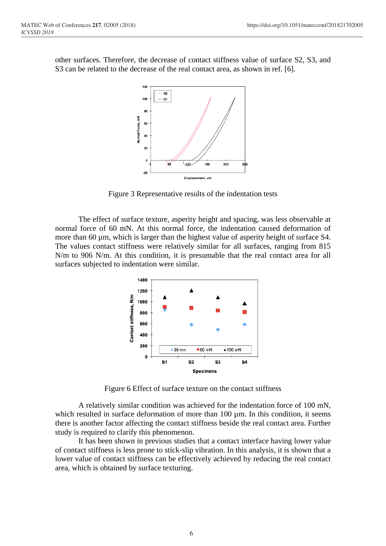

other surfaces. Therefore, the decrease of contact stiffness value of surface S2, S3, and S3 can be related to the decrease of the real contact area, as shown in ref. [6].

Figure 3 Representative results of the indentation tests

The effect of surface texture, asperity height and spacing, was less observable at normal force of 60 mN. At this normal force, the indentation caused deformation of more than 60 µm, which is larger than the highest value of asperity height of surface S4. The values contact stiffness were relatively similar for all surfaces, ranging from 815 N/m to 906 N/m. At this condition, it is presumable that the real contact area for all surfaces subjected to indentation were similar.



Figure 6 Effect of surface texture on the contact stiffness

A relatively similar condition was achieved for the indentation force of 100 mN, which resulted in surface deformation of more than  $100 \mu m$ . In this condition, it seems there is another factor affecting the contact stiffness beside the real contact area. Further study is required to clarify this phenomenon.

It has been shown in previous studies that a contact interface having lower value of contact stiffness is less prone to stick-slip vibration. In this analysis, it is shown that a lower value of contact stiffness can be effectively achieved by reducing the real contact area, which is obtained by surface texturing.